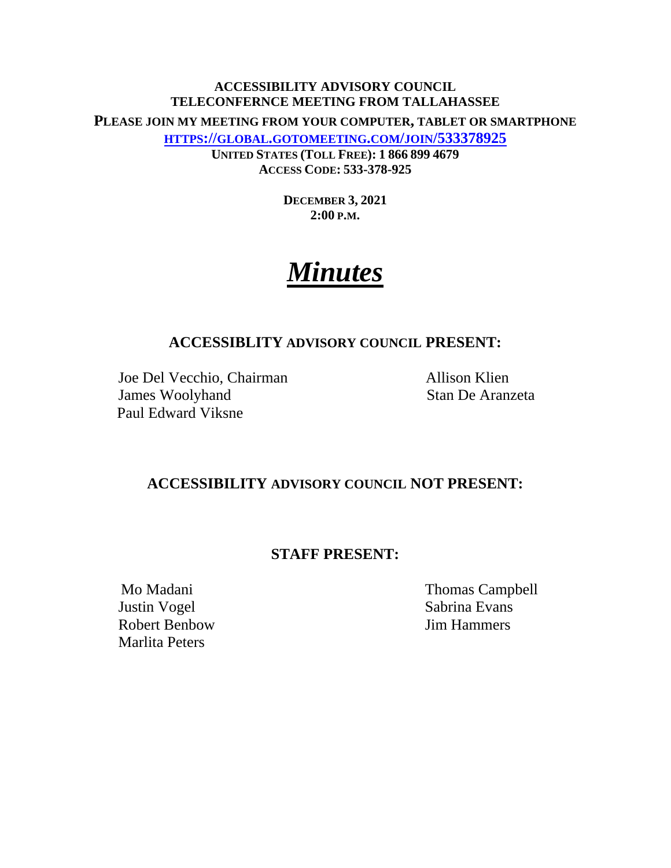# **ACCESSIBILITY ADVISORY COUNCIL TELECONFERNCE MEETING FROM TALLAHASSEE PLEASE JOIN MY MEETING FROM YOUR COMPUTER, TABLET OR SMARTPHONE HTTPS://GLOBAL.GOTOMEETING.COM/JOIN/533378925 UNITED STATES (TOLL FREE): 1 866 899 4679 ACCESS CODE: 533-378-925**

**DECEMBER 3, 2021 2:00 P.M.**

# *Minutes*

# **ACCESSIBLITY ADVISORY COUNCIL PRESENT:**

Joe Del Vecchio, Chairman Allison Klien **James Woolyhand** Stan De Aranzeta Paul Edward Viksne

# **ACCESSIBILITY ADVISORY COUNCIL NOT PRESENT:**

# **STAFF PRESENT:**

Justin Vogel Sabrina Evans Robert Benbow Jim Hammers Marlita Peters

Mo Madani Thomas Campbell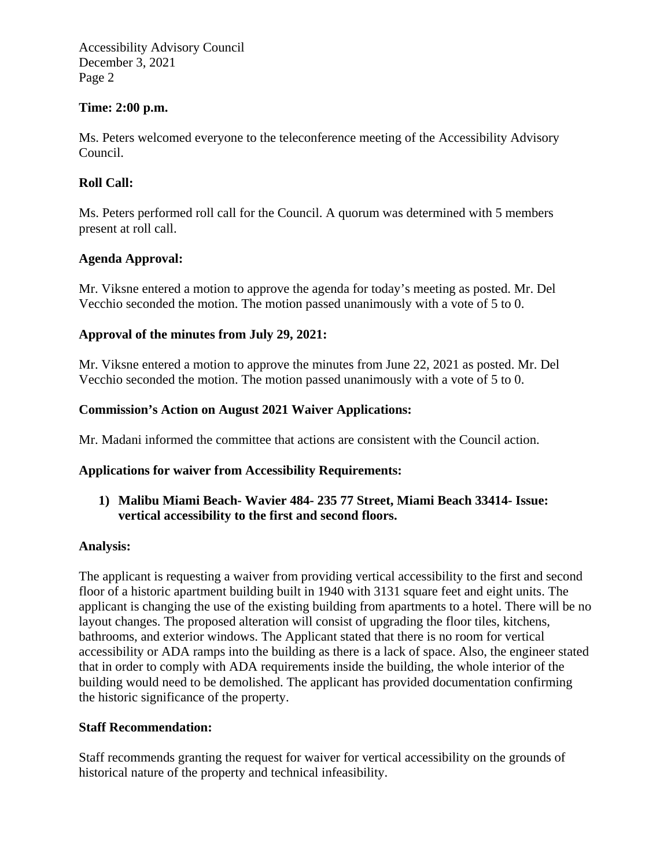Accessibility Advisory Council December 3, 2021 Page 2

#### **Time: 2:00 p.m.**

Ms. Peters welcomed everyone to the teleconference meeting of the Accessibility Advisory Council.

## **Roll Call:**

Ms. Peters performed roll call for the Council. A quorum was determined with 5 members present at roll call.

## **Agenda Approval:**

Mr. Viksne entered a motion to approve the agenda for today's meeting as posted. Mr. Del Vecchio seconded the motion. The motion passed unanimously with a vote of 5 to 0.

## **Approval of the minutes from July 29, 2021:**

Mr. Viksne entered a motion to approve the minutes from June 22, 2021 as posted. Mr. Del Vecchio seconded the motion. The motion passed unanimously with a vote of 5 to 0.

## **Commission's Action on August 2021 Waiver Applications:**

Mr. Madani informed the committee that actions are consistent with the Council action.

#### **Applications for waiver from Accessibility Requirements:**

**1) Malibu Miami Beach- Wavier 484- 235 77 Street, Miami Beach 33414- Issue: vertical accessibility to the first and second floors.** 

#### **Analysis:**

The applicant is requesting a waiver from providing vertical accessibility to the first and second floor of a historic apartment building built in 1940 with 3131 square feet and eight units. The applicant is changing the use of the existing building from apartments to a hotel. There will be no layout changes. The proposed alteration will consist of upgrading the floor tiles, kitchens, bathrooms, and exterior windows. The Applicant stated that there is no room for vertical accessibility or ADA ramps into the building as there is a lack of space. Also, the engineer stated that in order to comply with ADA requirements inside the building, the whole interior of the building would need to be demolished. The applicant has provided documentation confirming the historic significance of the property.

#### **Staff Recommendation:**

Staff recommends granting the request for waiver for vertical accessibility on the grounds of historical nature of the property and technical infeasibility.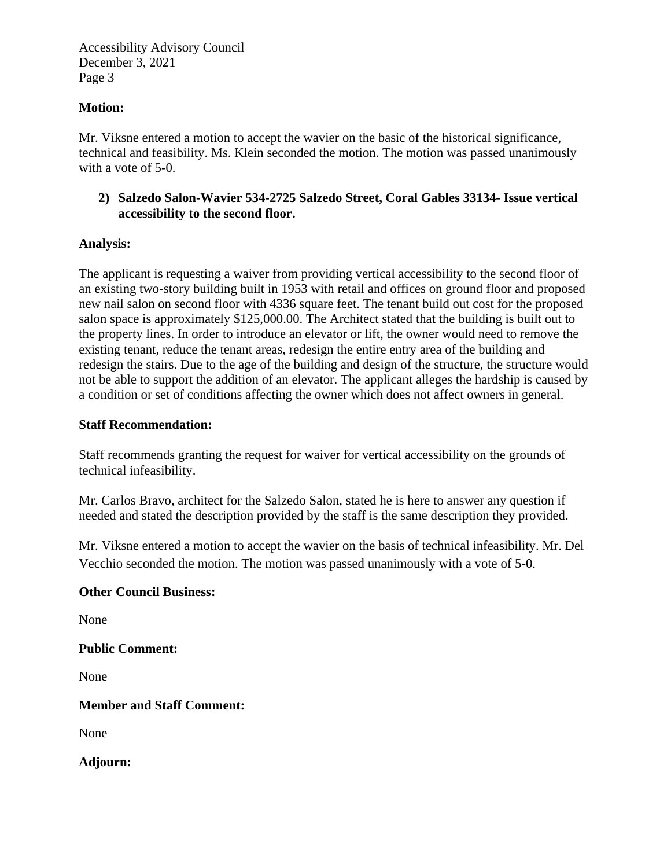Accessibility Advisory Council December 3, 2021 Page 3

#### **Motion:**

Mr. Viksne entered a motion to accept the wavier on the basic of the historical significance, technical and feasibility. Ms. Klein seconded the motion. The motion was passed unanimously with a vote of 5-0.

## **2) Salzedo Salon-Wavier 534-2725 Salzedo Street, Coral Gables 33134- Issue vertical accessibility to the second floor.**

# **Analysis:**

The applicant is requesting a waiver from providing vertical accessibility to the second floor of an existing two-story building built in 1953 with retail and offices on ground floor and proposed new nail salon on second floor with 4336 square feet. The tenant build out cost for the proposed salon space is approximately \$125,000.00. The Architect stated that the building is built out to the property lines. In order to introduce an elevator or lift, the owner would need to remove the existing tenant, reduce the tenant areas, redesign the entire entry area of the building and redesign the stairs. Due to the age of the building and design of the structure, the structure would not be able to support the addition of an elevator. The applicant alleges the hardship is caused by a condition or set of conditions affecting the owner which does not affect owners in general.

## **Staff Recommendation:**

Staff recommends granting the request for waiver for vertical accessibility on the grounds of technical infeasibility.

Mr. Carlos Bravo, architect for the Salzedo Salon, stated he is here to answer any question if needed and stated the description provided by the staff is the same description they provided.

Mr. Viksne entered a motion to accept the wavier on the basis of technical infeasibility. Mr. Del Vecchio seconded the motion. The motion was passed unanimously with a vote of 5-0.

#### **Other Council Business:**

None

**Public Comment:** 

None

**Member and Staff Comment:** 

None

**Adjourn:**